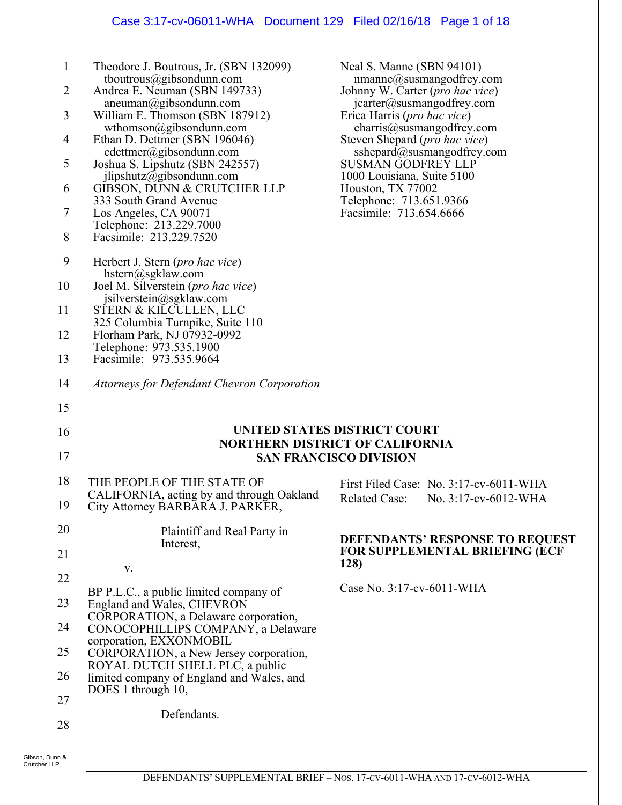# Case 3:17-cv-06011-WHA Document 129 Filed 02/16/18 Page 1 of 18

| $\mathbf{1}$<br>2<br>3<br>4<br>5<br>6<br>7<br>8 | Theodore J. Boutrous, Jr. (SBN 132099)<br>tboutrous@gibsondunn.com<br>Andrea E. Neuman (SBN 149733)<br>aneuman@gibsondunn.com<br>William E. Thomson (SBN 187912)<br>wthomson@gibsondunn.com<br>Ethan D. Dettmer (SBN 196046)<br>edettmer@gibsondunn.com<br>Joshua S. Lipshutz (SBN 242557)<br>jlipshutz@gibsondunn.com<br>GIBSON, DUNN & CRUTCHER LLP<br>333 South Grand Avenue<br>Los Angeles, CA 90071<br>Telephone: 213.229.7000<br>Facsimile: 213.229.7520 | Neal S. Manne (SBN 94101)<br>$n$ manne@susmangodfrey.com<br>Johnny W. Carter (pro hac vice)<br>jcarter@susmangodfrey.com<br>Erica Harris ( <i>pro hac vice</i> )<br>charris@susmangodfrey.com<br>Steven Shepard ( <i>pro hac vice</i> )<br>sshepard@susmangodfrey.com<br><b>SUSMAN GODFREY LLP</b><br>1000 Louisiana, Suite 5100<br>Houston, TX 77002<br>Telephone: 713.651.9366<br>Facsimile: 713.654.6666 |
|-------------------------------------------------|----------------------------------------------------------------------------------------------------------------------------------------------------------------------------------------------------------------------------------------------------------------------------------------------------------------------------------------------------------------------------------------------------------------------------------------------------------------|-------------------------------------------------------------------------------------------------------------------------------------------------------------------------------------------------------------------------------------------------------------------------------------------------------------------------------------------------------------------------------------------------------------|
| 9<br>10                                         | Herbert J. Stern ( <i>pro hac vice</i> )<br>$h^{stern}(a)$ sgklaw.com<br>Joel M. Silverstein (pro hac vice)                                                                                                                                                                                                                                                                                                                                                    |                                                                                                                                                                                                                                                                                                                                                                                                             |
| 11                                              | jsilverstein@sgklaw.com<br>STERN & KILCULLEN, LLC                                                                                                                                                                                                                                                                                                                                                                                                              |                                                                                                                                                                                                                                                                                                                                                                                                             |
| 12                                              | 325 Columbia Turnpike, Suite 110<br>Florham Park, NJ 07932-0992                                                                                                                                                                                                                                                                                                                                                                                                |                                                                                                                                                                                                                                                                                                                                                                                                             |
| 13                                              | Telephone: 973.535.1900<br>Facsimile: 973.535.9664                                                                                                                                                                                                                                                                                                                                                                                                             |                                                                                                                                                                                                                                                                                                                                                                                                             |
| 14                                              | Attorneys for Defendant Chevron Corporation                                                                                                                                                                                                                                                                                                                                                                                                                    |                                                                                                                                                                                                                                                                                                                                                                                                             |
| 15                                              |                                                                                                                                                                                                                                                                                                                                                                                                                                                                |                                                                                                                                                                                                                                                                                                                                                                                                             |
| 16                                              |                                                                                                                                                                                                                                                                                                                                                                                                                                                                | UNITED STATES DISTRICT COURT<br><b>NORTHERN DISTRICT OF CALIFORNIA</b>                                                                                                                                                                                                                                                                                                                                      |
| 17                                              |                                                                                                                                                                                                                                                                                                                                                                                                                                                                | <b>SAN FRANCISCO DIVISION</b>                                                                                                                                                                                                                                                                                                                                                                               |
| 18                                              | THE PEOPLE OF THE STATE OF                                                                                                                                                                                                                                                                                                                                                                                                                                     | First Filed Case: No. 3:17-cv-6011-WHA                                                                                                                                                                                                                                                                                                                                                                      |
| 19                                              | CALIFORNIA, acting by and through Oakland<br>City Attorney BARBARA J. PARKER,                                                                                                                                                                                                                                                                                                                                                                                  | <b>Related Case:</b><br>No. 3:17-cv-6012-WHA                                                                                                                                                                                                                                                                                                                                                                |
|                                                 |                                                                                                                                                                                                                                                                                                                                                                                                                                                                |                                                                                                                                                                                                                                                                                                                                                                                                             |
| 20                                              | Plaintiff and Real Party in                                                                                                                                                                                                                                                                                                                                                                                                                                    | DEFENDANTS' RESPONSE TO REQUEST                                                                                                                                                                                                                                                                                                                                                                             |
| 21                                              | Interest,                                                                                                                                                                                                                                                                                                                                                                                                                                                      | <b>FOR SUPPLEMENTAL BRIEFING (ECF</b><br><b>128</b> )                                                                                                                                                                                                                                                                                                                                                       |
| 22                                              | V.                                                                                                                                                                                                                                                                                                                                                                                                                                                             | Case No. 3:17-cv-6011-WHA                                                                                                                                                                                                                                                                                                                                                                                   |
| 23                                              | BP P.L.C., a public limited company of<br>England and Wales, CHEVRON                                                                                                                                                                                                                                                                                                                                                                                           |                                                                                                                                                                                                                                                                                                                                                                                                             |
| 24                                              | CORPORATION, a Delaware corporation,<br>CONOCOPHILLIPS COMPANY, a Delaware                                                                                                                                                                                                                                                                                                                                                                                     |                                                                                                                                                                                                                                                                                                                                                                                                             |
| 25                                              | corporation, EXXONMOBIL<br>CORPORATION, a New Jersey corporation,                                                                                                                                                                                                                                                                                                                                                                                              |                                                                                                                                                                                                                                                                                                                                                                                                             |
| 26                                              | ROYAL DUTCH SHELL PLC, a public<br>limited company of England and Wales, and                                                                                                                                                                                                                                                                                                                                                                                   |                                                                                                                                                                                                                                                                                                                                                                                                             |
| 27                                              | DOES 1 through 10,                                                                                                                                                                                                                                                                                                                                                                                                                                             |                                                                                                                                                                                                                                                                                                                                                                                                             |
| 28                                              | Defendants.                                                                                                                                                                                                                                                                                                                                                                                                                                                    |                                                                                                                                                                                                                                                                                                                                                                                                             |

Gibson, Dunn & Crutcher LLP

 $\mathbf l$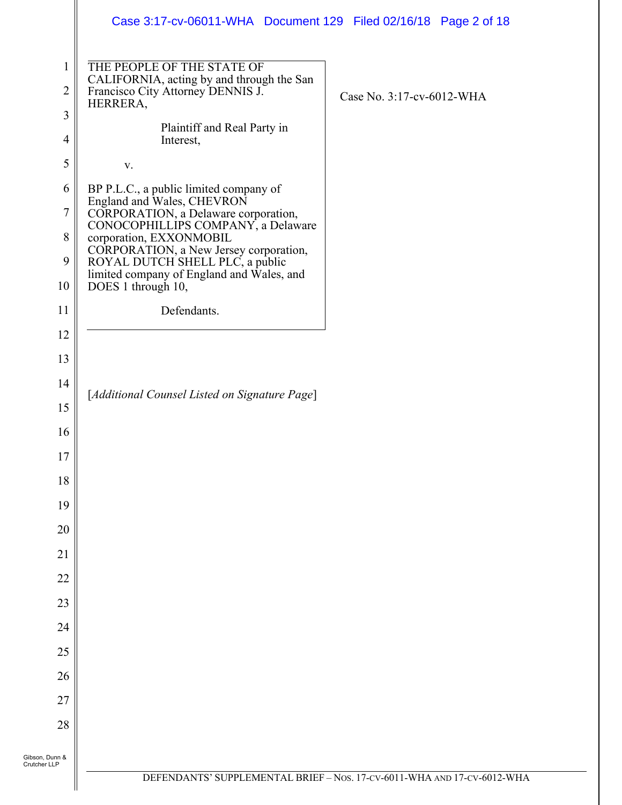|                                | Case 3:17-cv-06011-WHA  Document 129  Filed 02/16/18  Page 2 of 18                                                       |                                                                         |
|--------------------------------|--------------------------------------------------------------------------------------------------------------------------|-------------------------------------------------------------------------|
| $\mathbf{1}$<br>$\overline{2}$ | THE PEOPLE OF THE STATE OF<br>CALIFORNIA, acting by and through the San<br>Francisco City Attorney DENNIS J.<br>HERRERA, | Case No. 3:17-cv-6012-WHA                                               |
| $\overline{3}$                 | Plaintiff and Real Party in                                                                                              |                                                                         |
| $\overline{4}$                 | Interest,                                                                                                                |                                                                         |
| 5                              | V.                                                                                                                       |                                                                         |
| 6                              | BP P.L.C., a public limited company of<br>England and Wales, CHEVRON                                                     |                                                                         |
| 7                              | CORPORATION, a Delaware corporation,<br>CONOCOPHILLIPS COMPANY, a Delaware                                               |                                                                         |
| $\,8\,$<br>9                   | corporation, EXXONMOBIL<br>CORPORATION, a New Jersey corporation,<br>ROYAL DUTCH SHELL PLC, a public                     |                                                                         |
| 10                             | limited company of England and Wales, and<br>DOES 1 through 10,                                                          |                                                                         |
| 11                             | Defendants.                                                                                                              |                                                                         |
| 12                             |                                                                                                                          |                                                                         |
| 13                             |                                                                                                                          |                                                                         |
| 14                             | [Additional Counsel Listed on Signature Page]                                                                            |                                                                         |
| 15                             |                                                                                                                          |                                                                         |
| 16                             |                                                                                                                          |                                                                         |
| $17\,$                         |                                                                                                                          |                                                                         |
| 18                             |                                                                                                                          |                                                                         |
| 19                             |                                                                                                                          |                                                                         |
| 20                             |                                                                                                                          |                                                                         |
| 21                             |                                                                                                                          |                                                                         |
| 22                             |                                                                                                                          |                                                                         |
| 23                             |                                                                                                                          |                                                                         |
| 24                             |                                                                                                                          |                                                                         |
| 25                             |                                                                                                                          |                                                                         |
| 26                             |                                                                                                                          |                                                                         |
| 27                             |                                                                                                                          |                                                                         |
| 28                             |                                                                                                                          |                                                                         |
| Gibson, Dunn &<br>Crutcher LLP |                                                                                                                          |                                                                         |
|                                |                                                                                                                          | DEFENDANTS' SUPPLEMENTAL BRIEF - Nos. 17-CV-6011-WHA AND 17-CV-6012-WHA |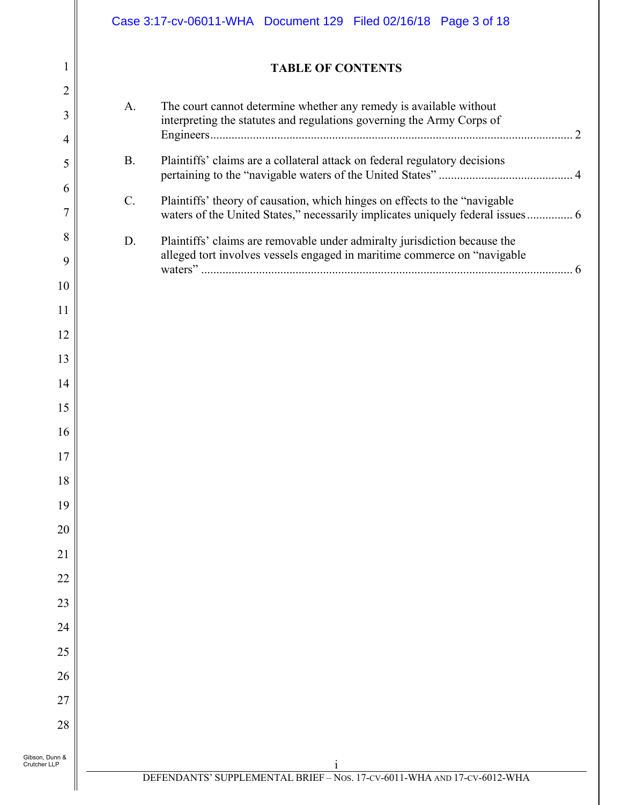| 1                              |           | <b>TABLE OF CONTENTS</b>                                                                                                                                     |
|--------------------------------|-----------|--------------------------------------------------------------------------------------------------------------------------------------------------------------|
| $\overline{2}$<br>3            | A.        | The court cannot determine whether any remedy is available without<br>interpreting the statutes and regulations governing the Army Corps of                  |
| 4<br>5                         | <b>B.</b> | Plaintiffs' claims are a collateral attack on federal regulatory decisions                                                                                   |
| 6<br>$\overline{7}$            | C.        | Plaintiffs' theory of causation, which hinges on effects to the "navigable<br>waters of the United States," necessarily implicates uniquely federal issues 6 |
| 8<br>9                         | D.        | Plaintiffs' claims are removable under admiralty jurisdiction because the<br>alleged tort involves vessels engaged in maritime commerce on "navigable        |
| 10                             |           |                                                                                                                                                              |
| 11                             |           |                                                                                                                                                              |
| 12                             |           |                                                                                                                                                              |
| 13                             |           |                                                                                                                                                              |
| 14                             |           |                                                                                                                                                              |
| 15                             |           |                                                                                                                                                              |
| 16                             |           |                                                                                                                                                              |
| $17\,$                         |           |                                                                                                                                                              |
| 18<br>19                       |           |                                                                                                                                                              |
| 20                             |           |                                                                                                                                                              |
| 21                             |           |                                                                                                                                                              |
| 22                             |           |                                                                                                                                                              |
| 23                             |           |                                                                                                                                                              |
| 24                             |           |                                                                                                                                                              |
| 25                             |           |                                                                                                                                                              |
| 26                             |           |                                                                                                                                                              |
| 27                             |           |                                                                                                                                                              |
| 28                             |           |                                                                                                                                                              |
| Gibson, Dunn &<br>Crutcher LLP |           |                                                                                                                                                              |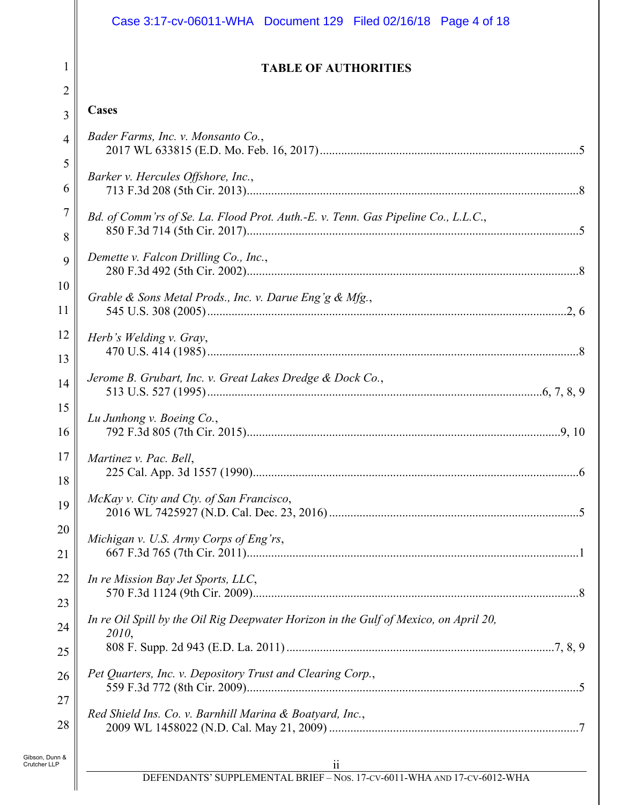|                                | Case 3:17-cv-06011-WHA Document 129 Filed 02/16/18 Page 4 of 18                               |  |
|--------------------------------|-----------------------------------------------------------------------------------------------|--|
| 1                              | <b>TABLE OF AUTHORITIES</b>                                                                   |  |
| $\overline{2}$                 |                                                                                               |  |
| 3                              | <b>Cases</b>                                                                                  |  |
| 4                              | Bader Farms, Inc. v. Monsanto Co.,                                                            |  |
| 5<br>6                         | Barker v. Hercules Offshore, Inc.,                                                            |  |
| $\overline{7}$<br>8            | Bd. of Comm'rs of Se. La. Flood Prot. Auth.-E. v. Tenn. Gas Pipeline Co., L.L.C.,             |  |
| 9                              | Demette v. Falcon Drilling Co., Inc.,                                                         |  |
| 10<br>11                       | Grable & Sons Metal Prods., Inc. v. Darue Eng'g & Mfg.,                                       |  |
| 12<br>13                       | Herb's Welding v. Gray,                                                                       |  |
| 14                             | Jerome B. Grubart, Inc. v. Great Lakes Dredge & Dock Co.,                                     |  |
| 15                             | Lu Junhong v. Boeing Co.,                                                                     |  |
| 16                             |                                                                                               |  |
| 17<br>18                       | Martinez v. Pac. Bell,                                                                        |  |
| 19                             | McKay v. City and Cty. of San Francisco,                                                      |  |
| 20                             | Michigan v. U.S. Army Corps of Eng'rs,                                                        |  |
| 21                             |                                                                                               |  |
| 22                             | In re Mission Bay Jet Sports, LLC,                                                            |  |
| 23                             |                                                                                               |  |
| 24                             | In re Oil Spill by the Oil Rig Deepwater Horizon in the Gulf of Mexico, on April 20,<br>2010, |  |
| 25                             |                                                                                               |  |
| 26                             | Pet Quarters, Inc. v. Depository Trust and Clearing Corp.,                                    |  |
| 27                             |                                                                                               |  |
| 28                             | Red Shield Ins. Co. v. Barnhill Marina & Boatyard, Inc.,                                      |  |
| Gibson, Dunn &<br>Crutcher LLP | ii ii<br>DEFENDANTS' SUPPLEMENTAL BRIEF – Nos. 17-cv-6011-WHA AND 17-cv-6012-WHA              |  |
|                                |                                                                                               |  |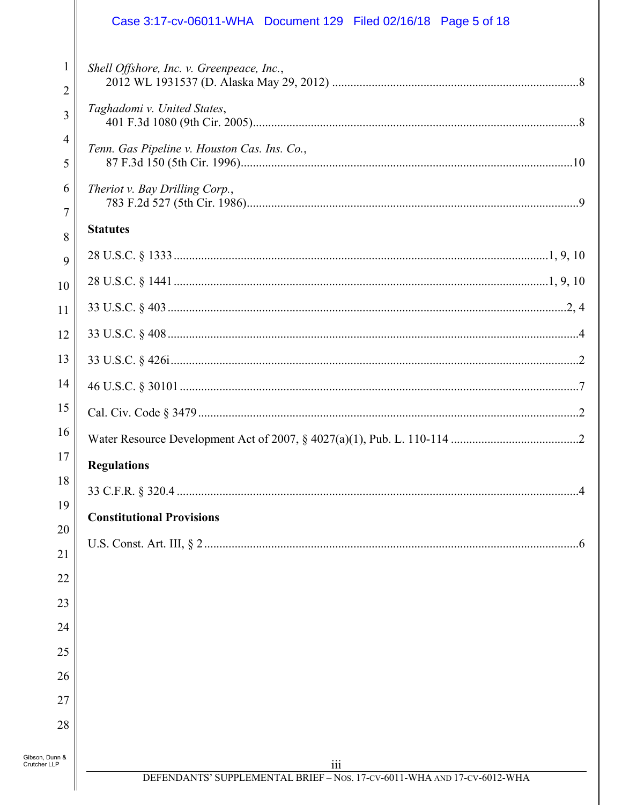|                                | Case 3:17-cv-06011-WHA  Document 129  Filed 02/16/18  Page 5 of 18             |
|--------------------------------|--------------------------------------------------------------------------------|
| 1<br>2                         | Shell Offshore, Inc. v. Greenpeace, Inc.,                                      |
| 3                              | Taghadomi v. United States,                                                    |
| $\overline{4}$<br>5            | Tenn. Gas Pipeline v. Houston Cas. Ins. Co.,                                   |
| 6<br>$\overline{7}$            | Theriot v. Bay Drilling Corp.,                                                 |
| 8                              | <b>Statutes</b>                                                                |
| 9                              |                                                                                |
| 10                             |                                                                                |
| 11                             |                                                                                |
| 12                             |                                                                                |
| 13                             |                                                                                |
| 14                             |                                                                                |
| 15                             |                                                                                |
| 16                             |                                                                                |
| $17\,$                         | <b>Regulations</b>                                                             |
| 18                             |                                                                                |
| 19                             | <b>Constitutional Provisions</b>                                               |
| 20                             |                                                                                |
| 21                             |                                                                                |
| 22                             |                                                                                |
| 23                             |                                                                                |
| 24                             |                                                                                |
| 25<br>26                       |                                                                                |
| 27                             |                                                                                |
| 28                             |                                                                                |
|                                |                                                                                |
| Gibson, Dunn &<br>Crutcher LLP | iii<br>DEFENDANTS' SUPPLEMENTAL BRIEF - Nos. 17-CV-6011-WHA AND 17-CV-6012-WHA |
|                                |                                                                                |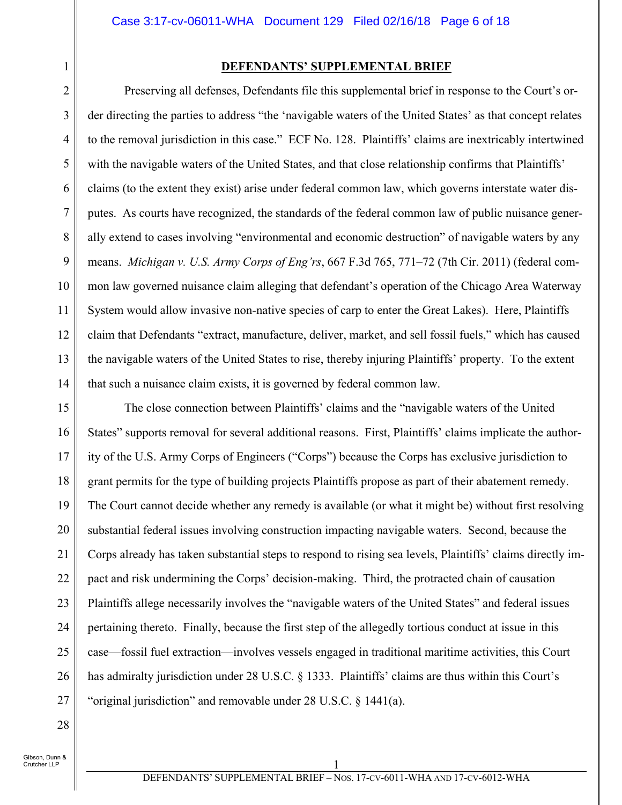#### **DEFENDANTS' SUPPLEMENTAL BRIEF**

Preserving all defenses, Defendants file this supplemental brief in response to the Court's order directing the parties to address "the 'navigable waters of the United States' as that concept relates to the removal jurisdiction in this case." ECF No. 128. Plaintiffs' claims are inextricably intertwined with the navigable waters of the United States, and that close relationship confirms that Plaintiffs' claims (to the extent they exist) arise under federal common law, which governs interstate water disputes. As courts have recognized, the standards of the federal common law of public nuisance generally extend to cases involving "environmental and economic destruction" of navigable waters by any means. *Michigan v. U.S. Army Corps of Eng'rs*, 667 F.3d 765, 771–72 (7th Cir. 2011) (federal common law governed nuisance claim alleging that defendant's operation of the Chicago Area Waterway System would allow invasive non-native species of carp to enter the Great Lakes). Here, Plaintiffs claim that Defendants "extract, manufacture, deliver, market, and sell fossil fuels," which has caused the navigable waters of the United States to rise, thereby injuring Plaintiffs' property. To the extent that such a nuisance claim exists, it is governed by federal common law.

15 16 17 18 19 20 21 22 23 24 25 26 27 The close connection between Plaintiffs' claims and the "navigable waters of the United States" supports removal for several additional reasons. First, Plaintiffs' claims implicate the authority of the U.S. Army Corps of Engineers ("Corps") because the Corps has exclusive jurisdiction to grant permits for the type of building projects Plaintiffs propose as part of their abatement remedy. The Court cannot decide whether any remedy is available (or what it might be) without first resolving substantial federal issues involving construction impacting navigable waters. Second, because the Corps already has taken substantial steps to respond to rising sea levels, Plaintiffs' claims directly impact and risk undermining the Corps' decision-making. Third, the protracted chain of causation Plaintiffs allege necessarily involves the "navigable waters of the United States" and federal issues pertaining thereto. Finally, because the first step of the allegedly tortious conduct at issue in this case—fossil fuel extraction—involves vessels engaged in traditional maritime activities, this Court has admiralty jurisdiction under 28 U.S.C. § 1333. Plaintiffs' claims are thus within this Court's "original jurisdiction" and removable under 28 U.S.C. § 1441(a).

28

1

2

3

4

5

6

7

8

9

10

11

12

13

14

Gibson, Dunn & Crutcher LLP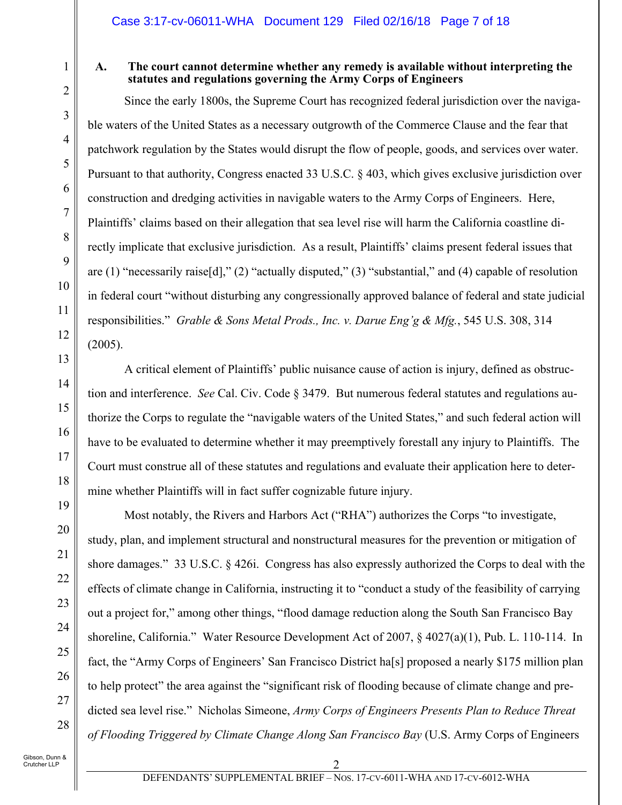# 1

2

3

4

5

6

7

8

 $\mathbf Q$ 

10

11

12

13

14

15

16

17

18

19

20

21

22

23

24

25

26

27

28

## **A. The court cannot determine whether any remedy is available without interpreting the statutes and regulations governing the Army Corps of Engineers**

Since the early 1800s, the Supreme Court has recognized federal jurisdiction over the navigable waters of the United States as a necessary outgrowth of the Commerce Clause and the fear that patchwork regulation by the States would disrupt the flow of people, goods, and services over water. Pursuant to that authority, Congress enacted 33 U.S.C. § 403, which gives exclusive jurisdiction over construction and dredging activities in navigable waters to the Army Corps of Engineers. Here, Plaintiffs' claims based on their allegation that sea level rise will harm the California coastline directly implicate that exclusive jurisdiction. As a result, Plaintiffs' claims present federal issues that are (1) "necessarily raise[d]," (2) "actually disputed," (3) "substantial," and (4) capable of resolution in federal court "without disturbing any congressionally approved balance of federal and state judicial responsibilities." *Grable & Sons Metal Prods., Inc. v. Darue Eng'g & Mfg.*, 545 U.S. 308, 314 (2005).

A critical element of Plaintiffs' public nuisance cause of action is injury, defined as obstruction and interference. *See* Cal. Civ. Code § 3479. But numerous federal statutes and regulations authorize the Corps to regulate the "navigable waters of the United States," and such federal action will have to be evaluated to determine whether it may preemptively forestall any injury to Plaintiffs. The Court must construe all of these statutes and regulations and evaluate their application here to determine whether Plaintiffs will in fact suffer cognizable future injury.

Most notably, the Rivers and Harbors Act ("RHA") authorizes the Corps "to investigate, study, plan, and implement structural and nonstructural measures for the prevention or mitigation of shore damages." 33 U.S.C. § 426i. Congress has also expressly authorized the Corps to deal with the effects of climate change in California, instructing it to "conduct a study of the feasibility of carrying out a project for," among other things, "flood damage reduction along the South San Francisco Bay shoreline, California." Water Resource Development Act of 2007, § 4027(a)(1), Pub. L. 110-114. In fact, the "Army Corps of Engineers' San Francisco District ha[s] proposed a nearly \$175 million plan to help protect" the area against the "significant risk of flooding because of climate change and predicted sea level rise." Nicholas Simeone, *Army Corps of Engineers Presents Plan to Reduce Threat of Flooding Triggered by Climate Change Along San Francisco Bay* (U.S. Army Corps of Engineers

Gibson, Dunn & Crutcher LLP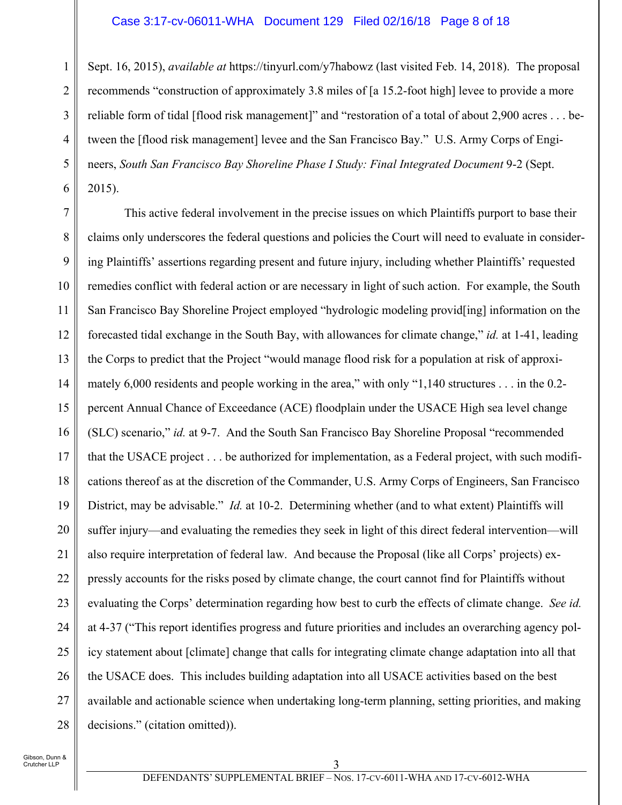#### Case 3:17-cv-06011-WHA Document 129 Filed 02/16/18 Page 8 of 18

1 2 3 4 5 6 Sept. 16, 2015), *available at* https://tinyurl.com/y7habowz (last visited Feb. 14, 2018). The proposal recommends "construction of approximately 3.8 miles of [a 15.2-foot high] levee to provide a more reliable form of tidal [flood risk management]" and "restoration of a total of about 2,900 acres . . . between the [flood risk management] levee and the San Francisco Bay." U.S. Army Corps of Engineers, *South San Francisco Bay Shoreline Phase I Study: Final Integrated Document* 9-2 (Sept. 2015).

7 8 9 10 11 12 13 14 15 16 17 18 19 20 21 22 23 24 25 26 27 28 This active federal involvement in the precise issues on which Plaintiffs purport to base their claims only underscores the federal questions and policies the Court will need to evaluate in considering Plaintiffs' assertions regarding present and future injury, including whether Plaintiffs' requested remedies conflict with federal action or are necessary in light of such action. For example, the South San Francisco Bay Shoreline Project employed "hydrologic modeling provid[ing] information on the forecasted tidal exchange in the South Bay, with allowances for climate change," *id.* at 1-41, leading the Corps to predict that the Project "would manage flood risk for a population at risk of approximately 6,000 residents and people working in the area," with only "1,140 structures . . . in the 0.2 percent Annual Chance of Exceedance (ACE) floodplain under the USACE High sea level change (SLC) scenario," *id.* at 9-7. And the South San Francisco Bay Shoreline Proposal "recommended that the USACE project . . . be authorized for implementation, as a Federal project, with such modifications thereof as at the discretion of the Commander, U.S. Army Corps of Engineers, San Francisco District, may be advisable." *Id.* at 10-2. Determining whether (and to what extent) Plaintiffs will suffer injury—and evaluating the remedies they seek in light of this direct federal intervention—will also require interpretation of federal law. And because the Proposal (like all Corps' projects) expressly accounts for the risks posed by climate change, the court cannot find for Plaintiffs without evaluating the Corps' determination regarding how best to curb the effects of climate change. *See id.*  at 4-37 ("This report identifies progress and future priorities and includes an overarching agency policy statement about [climate] change that calls for integrating climate change adaptation into all that the USACE does. This includes building adaptation into all USACE activities based on the best available and actionable science when undertaking long-term planning, setting priorities, and making decisions." (citation omitted)).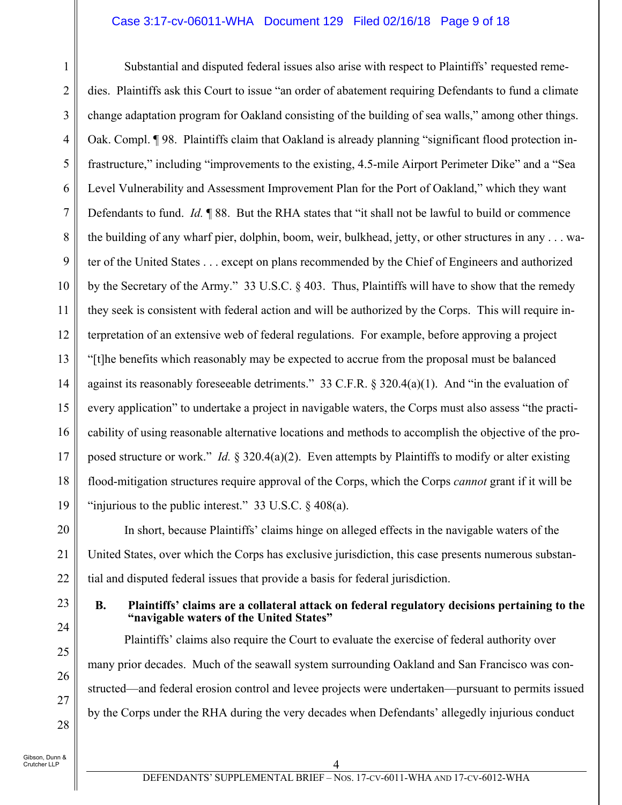#### Case 3:17-cv-06011-WHA Document 129 Filed 02/16/18 Page 9 of 18

1 2 3 4 5 6 7 8 9 10 11 12 13 14 15 16 17 18 19 Substantial and disputed federal issues also arise with respect to Plaintiffs' requested remedies. Plaintiffs ask this Court to issue "an order of abatement requiring Defendants to fund a climate change adaptation program for Oakland consisting of the building of sea walls," among other things. Oak. Compl. ¶ 98. Plaintiffs claim that Oakland is already planning "significant flood protection infrastructure," including "improvements to the existing, 4.5-mile Airport Perimeter Dike" and a "Sea Level Vulnerability and Assessment Improvement Plan for the Port of Oakland," which they want Defendants to fund. *Id.* ¶ 88. But the RHA states that "it shall not be lawful to build or commence the building of any wharf pier, dolphin, boom, weir, bulkhead, jetty, or other structures in any . . . water of the United States . . . except on plans recommended by the Chief of Engineers and authorized by the Secretary of the Army." 33 U.S.C. § 403. Thus, Plaintiffs will have to show that the remedy they seek is consistent with federal action and will be authorized by the Corps. This will require interpretation of an extensive web of federal regulations. For example, before approving a project "[t]he benefits which reasonably may be expected to accrue from the proposal must be balanced against its reasonably foreseeable detriments." 33 C.F.R. § 320.4(a)(1). And "in the evaluation of every application" to undertake a project in navigable waters, the Corps must also assess "the practicability of using reasonable alternative locations and methods to accomplish the objective of the proposed structure or work." *Id.* § 320.4(a)(2). Even attempts by Plaintiffs to modify or alter existing flood-mitigation structures require approval of the Corps, which the Corps *cannot* grant if it will be "injurious to the public interest." 33 U.S.C.  $\S$  408(a).

In short, because Plaintiffs' claims hinge on alleged effects in the navigable waters of the United States, over which the Corps has exclusive jurisdiction, this case presents numerous substantial and disputed federal issues that provide a basis for federal jurisdiction.

# 23 24

25

26

27

28

20

21

22

#### **B. Plaintiffs' claims are a collateral attack on federal regulatory decisions pertaining to the "navigable waters of the United States"**

Plaintiffs' claims also require the Court to evaluate the exercise of federal authority over many prior decades. Much of the seawall system surrounding Oakland and San Francisco was constructed—and federal erosion control and levee projects were undertaken—pursuant to permits issued by the Corps under the RHA during the very decades when Defendants' allegedly injurious conduct

Gibson, Dunn & .<br>Crutcher LLP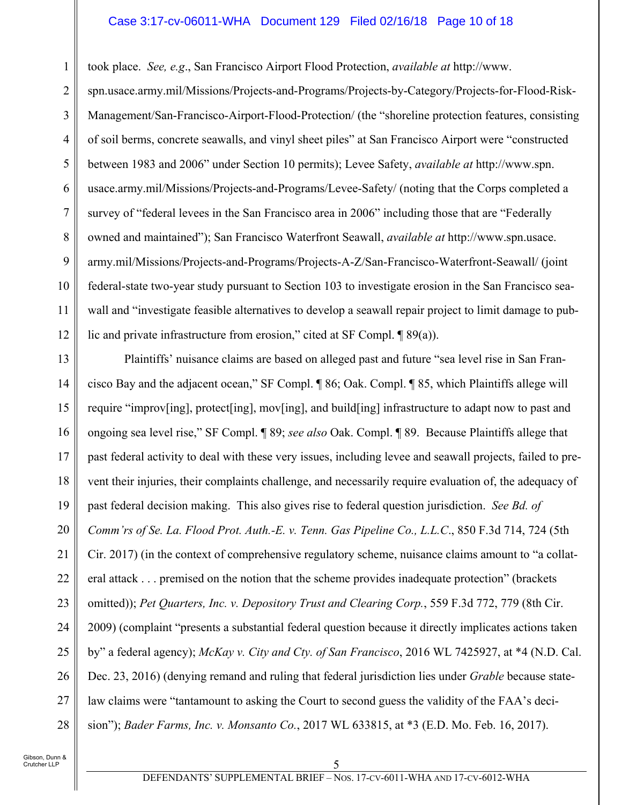#### Case 3:17-cv-06011-WHA Document 129 Filed 02/16/18 Page 10 of 18

took place. *See, e.g*., San Francisco Airport Flood Protection, *available at* http://www.

2 3 4 5 6 7 8 9 10 11 12 spn.usace.army.mil/Missions/Projects-and-Programs/Projects-by-Category/Projects-for-Flood-Risk-Management/San-Francisco-Airport-Flood-Protection/ (the "shoreline protection features, consisting of soil berms, concrete seawalls, and vinyl sheet piles" at San Francisco Airport were "constructed between 1983 and 2006" under Section 10 permits); Levee Safety, *available at* http://www.spn. usace.army.mil/Missions/Projects-and-Programs/Levee-Safety/ (noting that the Corps completed a survey of "federal levees in the San Francisco area in 2006" including those that are "Federally owned and maintained"); San Francisco Waterfront Seawall, *available at* http://www.spn.usace. army.mil/Missions/Projects-and-Programs/Projects-A-Z/San-Francisco-Waterfront-Seawall/ (joint federal-state two-year study pursuant to Section 103 to investigate erosion in the San Francisco seawall and "investigate feasible alternatives to develop a seawall repair project to limit damage to public and private infrastructure from erosion," cited at SF Compl. ¶ 89(a)).

13 14 15 16 17 18 19 20 21 22 23 24 25 26 27 28 Plaintiffs' nuisance claims are based on alleged past and future "sea level rise in San Francisco Bay and the adjacent ocean," SF Compl. ¶ 86; Oak. Compl. ¶ 85, which Plaintiffs allege will require "improv[ing], protect[ing], mov[ing], and build[ing] infrastructure to adapt now to past and ongoing sea level rise," SF Compl. ¶ 89; *see also* Oak. Compl. ¶ 89. Because Plaintiffs allege that past federal activity to deal with these very issues, including levee and seawall projects, failed to prevent their injuries, their complaints challenge, and necessarily require evaluation of, the adequacy of past federal decision making. This also gives rise to federal question jurisdiction. *See Bd. of Comm'rs of Se. La. Flood Prot. Auth.-E. v. Tenn. Gas Pipeline Co., L.L.C*., 850 F.3d 714, 724 (5th Cir. 2017) (in the context of comprehensive regulatory scheme, nuisance claims amount to "a collateral attack . . . premised on the notion that the scheme provides inadequate protection" (brackets omitted)); *Pet Quarters, Inc. v. Depository Trust and Clearing Corp.*, 559 F.3d 772, 779 (8th Cir. 2009) (complaint "presents a substantial federal question because it directly implicates actions taken by" a federal agency); *McKay v. City and Cty. of San Francisco*, 2016 WL 7425927, at \*4 (N.D. Cal. Dec. 23, 2016) (denying remand and ruling that federal jurisdiction lies under *Grable* because statelaw claims were "tantamount to asking the Court to second guess the validity of the FAA's decision"); *Bader Farms, Inc. v. Monsanto Co.*, 2017 WL 633815, at \*3 (E.D. Mo. Feb. 16, 2017).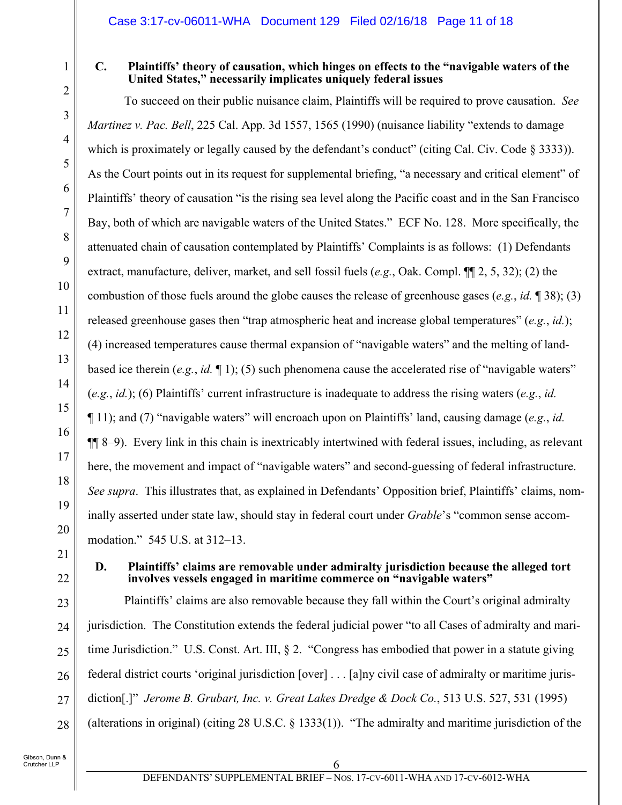### **C. Plaintiffs' theory of causation, which hinges on effects to the "navigable waters of the United States," necessarily implicates uniquely federal issues**

To succeed on their public nuisance claim, Plaintiffs will be required to prove causation. *See Martinez v. Pac. Bell*, 225 Cal. App. 3d 1557, 1565 (1990) (nuisance liability "extends to damage which is proximately or legally caused by the defendant's conduct" (citing Cal. Civ. Code § 3333)). As the Court points out in its request for supplemental briefing, "a necessary and critical element" of Plaintiffs' theory of causation "is the rising sea level along the Pacific coast and in the San Francisco Bay, both of which are navigable waters of the United States." ECF No. 128. More specifically, the attenuated chain of causation contemplated by Plaintiffs' Complaints is as follows: (1) Defendants extract, manufacture, deliver, market, and sell fossil fuels (*e.g.*, Oak. Compl. ¶¶ 2, 5, 32); (2) the combustion of those fuels around the globe causes the release of greenhouse gases (*e.g.*, *id.* ¶ 38); (3) released greenhouse gases then "trap atmospheric heat and increase global temperatures" (*e.g.*, *id.*); (4) increased temperatures cause thermal expansion of "navigable waters" and the melting of landbased ice therein (*e.g.*, *id.* ¶ 1); (5) such phenomena cause the accelerated rise of "navigable waters" (*e.g.*, *id.*); (6) Plaintiffs' current infrastructure is inadequate to address the rising waters (*e.g.*, *id.* ¶ 11); and (7) "navigable waters" will encroach upon on Plaintiffs' land, causing damage (*e.g.*, *id.* ¶¶ 8–9). Every link in this chain is inextricably intertwined with federal issues, including, as relevant here, the movement and impact of "navigable waters" and second-guessing of federal infrastructure. *See supra*. This illustrates that, as explained in Defendants' Opposition brief, Plaintiffs' claims, nominally asserted under state law, should stay in federal court under *Grable*'s "common sense accommodation." 545 U.S. at 312–13.

#### **D. Plaintiffs' claims are removable under admiralty jurisdiction because the alleged tort involves vessels engaged in maritime commerce on "navigable waters"**

Plaintiffs' claims are also removable because they fall within the Court's original admiralty jurisdiction. The Constitution extends the federal judicial power "to all Cases of admiralty and maritime Jurisdiction." U.S. Const. Art. III, § 2. "Congress has embodied that power in a statute giving federal district courts 'original jurisdiction [over] . . . [a]ny civil case of admiralty or maritime jurisdiction[.]" *Jerome B. Grubart, Inc. v. Great Lakes Dredge & Dock Co.*, 513 U.S. 527, 531 (1995) (alterations in original) (citing 28 U.S.C. § 1333(1)). "The admiralty and maritime jurisdiction of the

1

2

3

4

5

6

7

8

9

10

11

12

13

14

15

16

17

18

19

20

21

22

23

24

25

26

27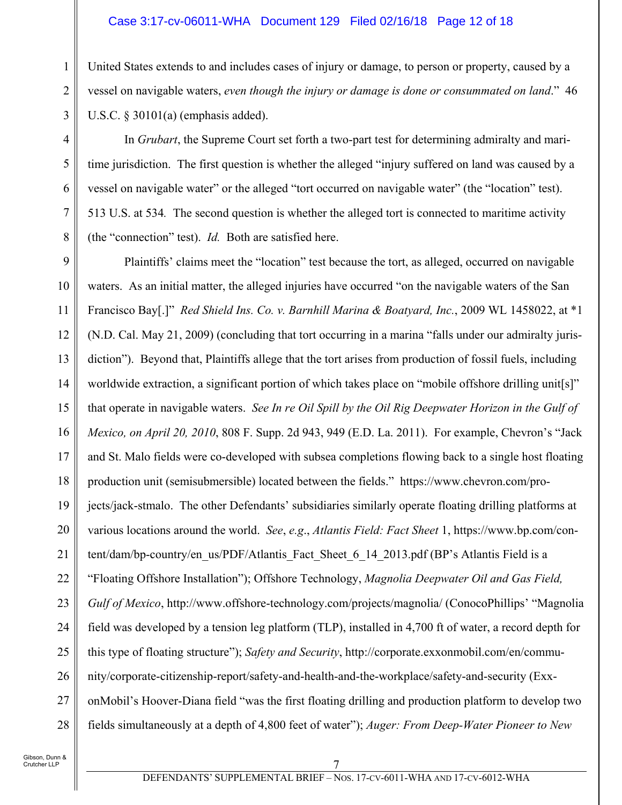#### Case 3:17-cv-06011-WHA Document 129 Filed 02/16/18 Page 12 of 18

United States extends to and includes cases of injury or damage, to person or property, caused by a vessel on navigable waters, *even though the injury or damage is done or consummated on land*." 46 U.S.C. § 30101(a) (emphasis added).

In *Grubart*, the Supreme Court set forth a two-part test for determining admiralty and maritime jurisdiction. The first question is whether the alleged "injury suffered on land was caused by a vessel on navigable water" or the alleged "tort occurred on navigable water" (the "location" test). 513 U.S. at 534*.* The second question is whether the alleged tort is connected to maritime activity (the "connection" test). *Id.* Both are satisfied here.

9 10 11 12 13 14 15 16 17 18 19 20 21 22 23 24 25 26 27 28 Plaintiffs' claims meet the "location" test because the tort, as alleged, occurred on navigable waters. As an initial matter, the alleged injuries have occurred "on the navigable waters of the San Francisco Bay[.]" *Red Shield Ins. Co. v. Barnhill Marina & Boatyard, Inc.*, 2009 WL 1458022, at \*1 (N.D. Cal. May 21, 2009) (concluding that tort occurring in a marina "falls under our admiralty jurisdiction"). Beyond that, Plaintiffs allege that the tort arises from production of fossil fuels, including worldwide extraction, a significant portion of which takes place on "mobile offshore drilling unit[s]" that operate in navigable waters. *See In re Oil Spill by the Oil Rig Deepwater Horizon in the Gulf of Mexico, on April 20, 2010*, 808 F. Supp. 2d 943, 949 (E.D. La. 2011). For example, Chevron's "Jack and St. Malo fields were co-developed with subsea completions flowing back to a single host floating production unit (semisubmersible) located between the fields." https://www.chevron.com/projects/jack-stmalo. The other Defendants' subsidiaries similarly operate floating drilling platforms at various locations around the world. *See*, *e.g*., *Atlantis Field: Fact Sheet* 1, https://www.bp.com/content/dam/bp-country/en\_us/PDF/Atlantis\_Fact\_Sheet\_6\_14\_2013.pdf (BP's Atlantis Field is a "Floating Offshore Installation"); Offshore Technology, *Magnolia Deepwater Oil and Gas Field, Gulf of Mexico*, http://www.offshore-technology.com/projects/magnolia/ (ConocoPhillips' "Magnolia field was developed by a tension leg platform (TLP), installed in 4,700 ft of water, a record depth for this type of floating structure"); *Safety and Security*, http://corporate.exxonmobil.com/en/community/corporate-citizenship-report/safety-and-health-and-the-workplace/safety-and-security (ExxonMobil's Hoover-Diana field "was the first floating drilling and production platform to develop two fields simultaneously at a depth of 4,800 feet of water"); *Auger: From Deep-Water Pioneer to New* 

1

2

3

4

5

6

7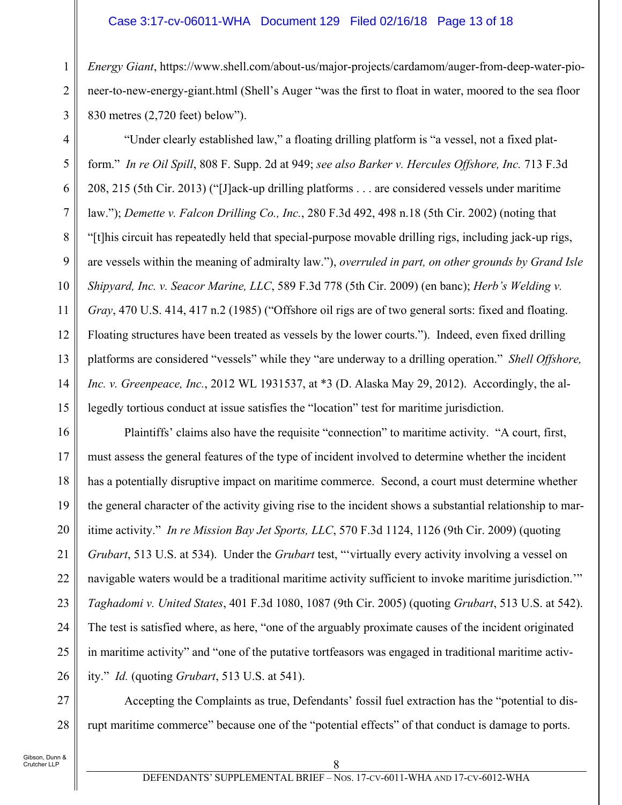### Case 3:17-cv-06011-WHA Document 129 Filed 02/16/18 Page 13 of 18

*Energy Giant*, https://www.shell.com/about-us/major-projects/cardamom/auger-from-deep-water-pioneer-to-new-energy-giant.html (Shell's Auger "was the first to float in water, moored to the sea floor 830 metres (2,720 feet) below").

5 7 9 "Under clearly established law," a floating drilling platform is "a vessel, not a fixed platform." *In re Oil Spill*, 808 F. Supp. 2d at 949; *see also Barker v. Hercules Offshore, Inc.* 713 F.3d 208, 215 (5th Cir. 2013) ("[J]ack-up drilling platforms . . . are considered vessels under maritime law."); *Demette v. Falcon Drilling Co., Inc.*, 280 F.3d 492, 498 n.18 (5th Cir. 2002) (noting that "[t]his circuit has repeatedly held that special-purpose movable drilling rigs, including jack-up rigs, are vessels within the meaning of admiralty law."), *overruled in part, on other grounds by Grand Isle Shipyard, Inc. v. Seacor Marine, LLC*, 589 F.3d 778 (5th Cir. 2009) (en banc); *Herb's Welding v. Gray*, 470 U.S. 414, 417 n.2 (1985) ("Offshore oil rigs are of two general sorts: fixed and floating. Floating structures have been treated as vessels by the lower courts."). Indeed, even fixed drilling platforms are considered "vessels" while they "are underway to a drilling operation." *Shell Offshore, Inc. v. Greenpeace, Inc.*, 2012 WL 1931537, at \*3 (D. Alaska May 29, 2012). Accordingly, the allegedly tortious conduct at issue satisfies the "location" test for maritime jurisdiction.

16 17 18 19 20 21 22 23 24 25 26 Plaintiffs' claims also have the requisite "connection" to maritime activity. "A court, first, must assess the general features of the type of incident involved to determine whether the incident has a potentially disruptive impact on maritime commerce. Second, a court must determine whether the general character of the activity giving rise to the incident shows a substantial relationship to maritime activity." *In re Mission Bay Jet Sports, LLC*, 570 F.3d 1124, 1126 (9th Cir. 2009) (quoting *Grubart*, 513 U.S. at 534). Under the *Grubart* test, "'virtually every activity involving a vessel on navigable waters would be a traditional maritime activity sufficient to invoke maritime jurisdiction.'" *Taghadomi v. United States*, 401 F.3d 1080, 1087 (9th Cir. 2005) (quoting *Grubart*, 513 U.S. at 542). The test is satisfied where, as here, "one of the arguably proximate causes of the incident originated in maritime activity" and "one of the putative tortfeasors was engaged in traditional maritime activity." *Id.* (quoting *Grubart*, 513 U.S. at 541).

27 28 Accepting the Complaints as true, Defendants' fossil fuel extraction has the "potential to disrupt maritime commerce" because one of the "potential effects" of that conduct is damage to ports.

1

2

3

4

6

8

10

11

12

13

14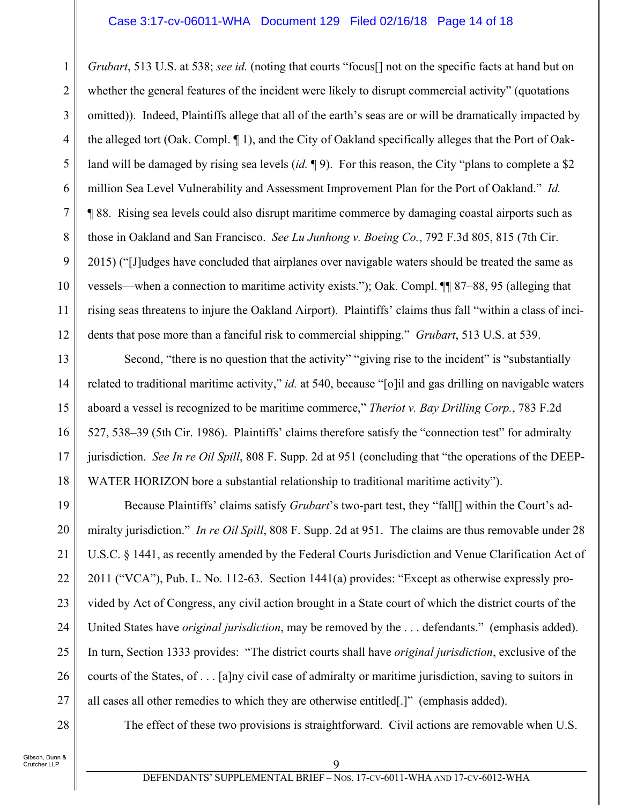#### Case 3:17-cv-06011-WHA Document 129 Filed 02/16/18 Page 14 of 18

1 2 3 4 5 6 7 8 9 10 11 12 *Grubart*, 513 U.S. at 538; *see id.* (noting that courts "focus[] not on the specific facts at hand but on whether the general features of the incident were likely to disrupt commercial activity" (quotations omitted)). Indeed, Plaintiffs allege that all of the earth's seas are or will be dramatically impacted by the alleged tort (Oak. Compl. ¶ 1), and the City of Oakland specifically alleges that the Port of Oakland will be damaged by rising sea levels (*id.* ¶ 9). For this reason, the City "plans to complete a \$2 million Sea Level Vulnerability and Assessment Improvement Plan for the Port of Oakland." *Id.* ¶ 88. Rising sea levels could also disrupt maritime commerce by damaging coastal airports such as those in Oakland and San Francisco. *See Lu Junhong v. Boeing Co.*, 792 F.3d 805, 815 (7th Cir. 2015) ("[J]udges have concluded that airplanes over navigable waters should be treated the same as vessels—when a connection to maritime activity exists."); Oak. Compl. ¶¶ 87–88, 95 (alleging that rising seas threatens to injure the Oakland Airport). Plaintiffs' claims thus fall "within a class of incidents that pose more than a fanciful risk to commercial shipping." *Grubart*, 513 U.S. at 539.

13 14 15 16 17 18 Second, "there is no question that the activity" "giving rise to the incident" is "substantially related to traditional maritime activity," *id.* at 540, because "[o]il and gas drilling on navigable waters aboard a vessel is recognized to be maritime commerce," *Theriot v. Bay Drilling Corp.*, 783 F.2d 527, 538–39 (5th Cir. 1986). Plaintiffs' claims therefore satisfy the "connection test" for admiralty jurisdiction. *See In re Oil Spill*, 808 F. Supp. 2d at 951 (concluding that "the operations of the DEEP-WATER HORIZON bore a substantial relationship to traditional maritime activity").

19 20 21 22 23 24 25 26 27 Because Plaintiffs' claims satisfy *Grubart*'s two-part test, they "fall[] within the Court's admiralty jurisdiction." *In re Oil Spill*, 808 F. Supp. 2d at 951. The claims are thus removable under 28 U.S.C. § 1441, as recently amended by the Federal Courts Jurisdiction and Venue Clarification Act of 2011 ("VCA"), Pub. L. No. 112-63. Section 1441(a) provides: "Except as otherwise expressly provided by Act of Congress, any civil action brought in a State court of which the district courts of the United States have *original jurisdiction*, may be removed by the . . . defendants." (emphasis added). In turn, Section 1333 provides: "The district courts shall have *original jurisdiction*, exclusive of the courts of the States, of . . . [a]ny civil case of admiralty or maritime jurisdiction, saving to suitors in all cases all other remedies to which they are otherwise entitled[.]" (emphasis added).

28

The effect of these two provisions is straightforward. Civil actions are removable when U.S.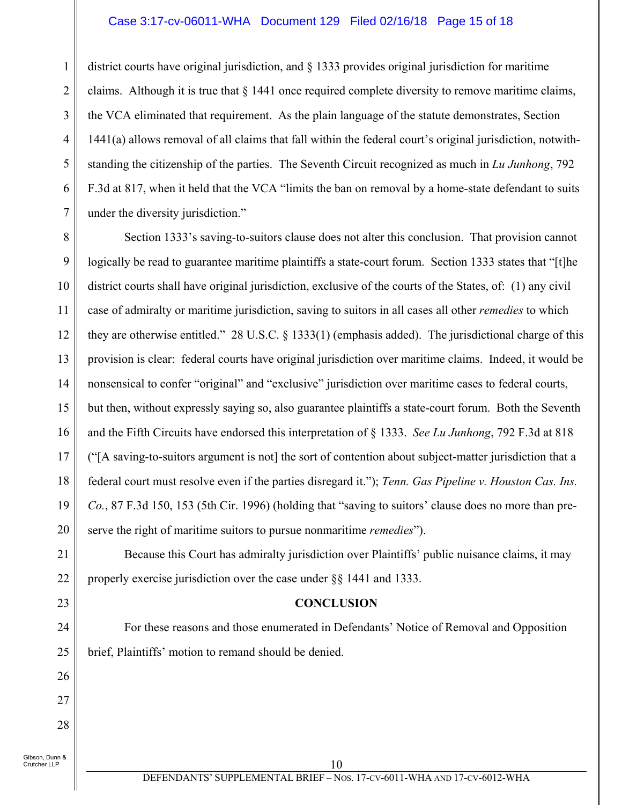#### Case 3:17-cv-06011-WHA Document 129 Filed 02/16/18 Page 15 of 18

district courts have original jurisdiction, and § 1333 provides original jurisdiction for maritime claims. Although it is true that  $\S$  1441 once required complete diversity to remove maritime claims, the VCA eliminated that requirement. As the plain language of the statute demonstrates, Section 1441(a) allows removal of all claims that fall within the federal court's original jurisdiction, notwithstanding the citizenship of the parties. The Seventh Circuit recognized as much in *Lu Junhong*, 792 F.3d at 817, when it held that the VCA "limits the ban on removal by a home-state defendant to suits under the diversity jurisdiction."

8 9 10 11 12 13 14 15 16 17 18 19 20 Section 1333's saving-to-suitors clause does not alter this conclusion. That provision cannot logically be read to guarantee maritime plaintiffs a state-court forum. Section 1333 states that "[t]he district courts shall have original jurisdiction, exclusive of the courts of the States, of: (1) any civil case of admiralty or maritime jurisdiction, saving to suitors in all cases all other *remedies* to which they are otherwise entitled." 28 U.S.C. § 1333(1) (emphasis added). The jurisdictional charge of this provision is clear: federal courts have original jurisdiction over maritime claims. Indeed, it would be nonsensical to confer "original" and "exclusive" jurisdiction over maritime cases to federal courts, but then, without expressly saying so, also guarantee plaintiffs a state-court forum. Both the Seventh and the Fifth Circuits have endorsed this interpretation of § 1333. *See Lu Junhong*, 792 F.3d at 818 ("[A saving-to-suitors argument is not] the sort of contention about subject-matter jurisdiction that a federal court must resolve even if the parties disregard it."); *Tenn. Gas Pipeline v. Houston Cas. Ins. Co.*, 87 F.3d 150, 153 (5th Cir. 1996) (holding that "saving to suitors' clause does no more than preserve the right of maritime suitors to pursue nonmaritime *remedies*").

Because this Court has admiralty jurisdiction over Plaintiffs' public nuisance claims, it may properly exercise jurisdiction over the case under §§ 1441 and 1333.

#### **CONCLUSION**

For these reasons and those enumerated in Defendants' Notice of Removal and Opposition brief, Plaintiffs' motion to remand should be denied.

Gibson, Dunn & .<br>Crutcher LLP

21

22

23

24

25

26

27

28

1

2

3

4

5

6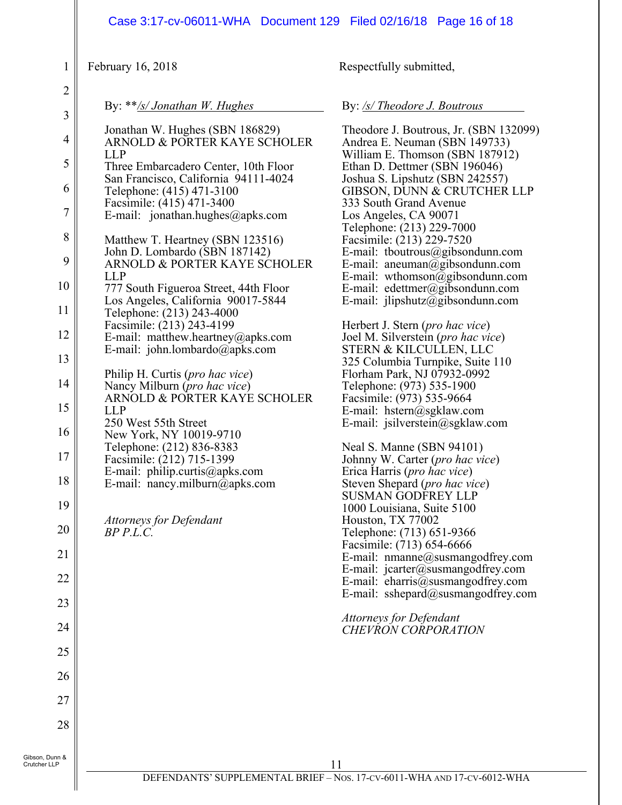|                                                                                                                                                                   | Case 3:17-cv-06011-WHA  Document 129  Filed 02/16/18  Page 16 of 18                                                                                                                                                                                                                                                                                                                                                                                                                                                                                                                                                                                                                                                                                                                                                                                                                                                                                 |                                                                                                                                                                                                                                                                                                                                                                                                                                                                                                                                                                                                                                                                                                                                                                                                                                                                                                                                                                                                                                                                                                                                                                                                                                                                                                                       |
|-------------------------------------------------------------------------------------------------------------------------------------------------------------------|-----------------------------------------------------------------------------------------------------------------------------------------------------------------------------------------------------------------------------------------------------------------------------------------------------------------------------------------------------------------------------------------------------------------------------------------------------------------------------------------------------------------------------------------------------------------------------------------------------------------------------------------------------------------------------------------------------------------------------------------------------------------------------------------------------------------------------------------------------------------------------------------------------------------------------------------------------|-----------------------------------------------------------------------------------------------------------------------------------------------------------------------------------------------------------------------------------------------------------------------------------------------------------------------------------------------------------------------------------------------------------------------------------------------------------------------------------------------------------------------------------------------------------------------------------------------------------------------------------------------------------------------------------------------------------------------------------------------------------------------------------------------------------------------------------------------------------------------------------------------------------------------------------------------------------------------------------------------------------------------------------------------------------------------------------------------------------------------------------------------------------------------------------------------------------------------------------------------------------------------------------------------------------------------|
| $\mathbf{1}$                                                                                                                                                      | February 16, 2018                                                                                                                                                                                                                                                                                                                                                                                                                                                                                                                                                                                                                                                                                                                                                                                                                                                                                                                                   | Respectfully submitted,                                                                                                                                                                                                                                                                                                                                                                                                                                                                                                                                                                                                                                                                                                                                                                                                                                                                                                                                                                                                                                                                                                                                                                                                                                                                                               |
| $\overline{2}$                                                                                                                                                    | By: $**$ /s/ Jonathan W. Hughes                                                                                                                                                                                                                                                                                                                                                                                                                                                                                                                                                                                                                                                                                                                                                                                                                                                                                                                     | By: /s/ Theodore J. Boutrous                                                                                                                                                                                                                                                                                                                                                                                                                                                                                                                                                                                                                                                                                                                                                                                                                                                                                                                                                                                                                                                                                                                                                                                                                                                                                          |
| $\mathfrak{Z}$<br>$\overline{4}$<br>5<br>6<br>7<br>$8\,$<br>9<br>10<br>11<br>12<br>13<br>14<br>15<br>16<br>$17\,$<br>18<br>19<br>20<br>21<br>22<br>23<br>24<br>25 | Jonathan W. Hughes (SBN 186829)<br>ARNOLD & PORTER KAYE SCHOLER<br><b>LLP</b><br>Three Embarcadero Center, 10th Floor<br>San Francisco, California 94111-4024<br>Telephone: (415) 471-3100<br>Facsimile: (415) 471-3400<br>E-mail: jonathan.hughes@apks.com<br>Matthew T. Heartney (SBN 123516)<br>John D. Lombardo (SBN 187142)<br>ARNOLD & PORTER KAYE SCHOLER<br><b>LLP</b><br>777 South Figueroa Street, 44th Floor<br>Los Angeles, California 90017-5844<br>Telephone: (213) 243-4000<br>Facsimile: (213) 243-4199<br>E-mail: matthew.heartney@apks.com<br>E-mail: john.lombardo@apks.com<br>Philip H. Curtis (pro hac vice)<br>Nancy Milburn (pro hac vice)<br>ARNOLD & PORTER KAYE SCHOLER<br><b>LLP</b><br>250 West 55th Street<br>New York, NY 10019-9710<br>Telephone: (212) 836-8383<br>Facsimile: (212) 715-1399<br>E-mail: philip.curtis@apks.com<br>E-mail: nancy.milburn@apks.com<br><b>Attorneys for Defendant</b><br>$BP$ $P.L.C.$ | Theodore J. Boutrous, Jr. (SBN 132099)<br>Andrea E. Neuman (SBN 149733)<br>William E. Thomson (SBN 187912)<br>Ethan D. Dettmer (SBN 196046)<br>Joshua S. Lipshutz (SBN 242557)<br>GIBSON, DUNN & CRUTCHER LLP<br>333 South Grand Avenue<br>Los Angeles, CA 90071<br>Telephone: (213) 229-7000<br>Facsimile: (213) 229-7520<br>E-mail: tboutrous@gibsondunn.com<br>E-mail: aneuman@gibsondunn.com<br>E-mail: wthomson@gibsondunn.com<br>E-mail: edettmer@gibsondunn.com<br>E-mail: $jlipshutz@gibsondunn.com$<br>Herbert J. Stern ( <i>pro hac vice</i> )<br>Joel M. Silverstein (pro hac vice)<br>STERN & KILCULLEN, LLC<br>325 Columbia Turnpike, Suite 110<br>Florham Park, NJ 07932-0992<br>Telephone: (973) 535-1900<br>Facsimile: (973) 535-9664<br>E-mail: hstern@sgklaw.com<br>E-mail: jsilverstein@sgklaw.com<br>Neal S. Manne (SBN 94101)<br>Johnny W. Carter (pro hac vice)<br>Erica Harris (pro hac vice)<br>Steven Shepard (pro hac vice)<br><b>SUSMAN GODFREY LLP</b><br>1000 Louisiana, Suite 5100<br>Houston, TX 77002<br>Telephone: (713) 651-9366<br>Facsimile: (713) 654-6666<br>E-mail: nmanne@susmangodfrey.com<br>E-mail: $jcarter@swsmangodfrey.com$<br>E-mail: eharris@susmangodfrey.com<br>E-mail: sshepard@susmangodfrey.com<br><b>Attorneys for Defendant</b><br><b>CHEVRON CORPORATION</b> |
| 26                                                                                                                                                                |                                                                                                                                                                                                                                                                                                                                                                                                                                                                                                                                                                                                                                                                                                                                                                                                                                                                                                                                                     |                                                                                                                                                                                                                                                                                                                                                                                                                                                                                                                                                                                                                                                                                                                                                                                                                                                                                                                                                                                                                                                                                                                                                                                                                                                                                                                       |
| 27                                                                                                                                                                |                                                                                                                                                                                                                                                                                                                                                                                                                                                                                                                                                                                                                                                                                                                                                                                                                                                                                                                                                     |                                                                                                                                                                                                                                                                                                                                                                                                                                                                                                                                                                                                                                                                                                                                                                                                                                                                                                                                                                                                                                                                                                                                                                                                                                                                                                                       |
| 28                                                                                                                                                                |                                                                                                                                                                                                                                                                                                                                                                                                                                                                                                                                                                                                                                                                                                                                                                                                                                                                                                                                                     |                                                                                                                                                                                                                                                                                                                                                                                                                                                                                                                                                                                                                                                                                                                                                                                                                                                                                                                                                                                                                                                                                                                                                                                                                                                                                                                       |
| Gibson, Dunn &<br>Crutcher LLP                                                                                                                                    |                                                                                                                                                                                                                                                                                                                                                                                                                                                                                                                                                                                                                                                                                                                                                                                                                                                                                                                                                     | 11                                                                                                                                                                                                                                                                                                                                                                                                                                                                                                                                                                                                                                                                                                                                                                                                                                                                                                                                                                                                                                                                                                                                                                                                                                                                                                                    |

 $\parallel$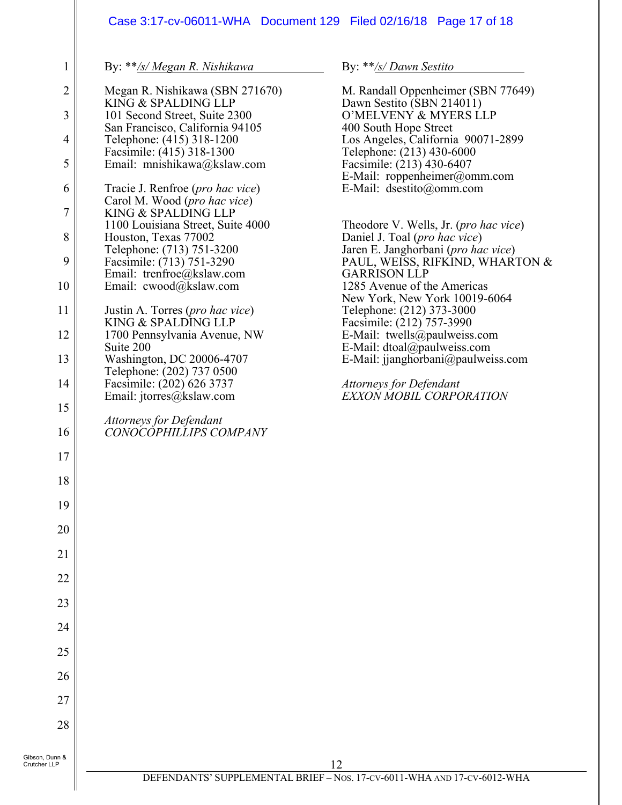# Case 3:17-cv-06011-WHA Document 129 Filed 02/16/18 Page 17 of 18

| $\mathbf{1}$   | By: **/s/ Megan R. Nishikawa                                              | By: **/s/ Dawn Sestito                                               |
|----------------|---------------------------------------------------------------------------|----------------------------------------------------------------------|
| $\overline{2}$ | Megan R. Nishikawa (SBN 271670)<br>KING & SPALDING LLP                    | M. Randall Oppenheimer (SBN 77649)<br>Dawn Sestito (SBN 214011)      |
| 3              | 101 Second Street, Suite 2300                                             | O'MELVENY & MYERS LLP                                                |
| 4              | San Francisco, California 94105<br>Telephone: (415) 318-1200              | 400 South Hope Street<br>Los Angeles, California 90071-2899          |
| 5              | Facsimile: (415) 318-1300<br>Email: mnishikawa@kslaw.com                  | Telephone: (213) 430-6000<br>Facsimile: (213) 430-6407               |
|                |                                                                           | E-Mail: roppenheimer@omm.com                                         |
| 6              | Tracie J. Renfroe ( <i>pro hac vice</i> )<br>Carol M. Wood (pro hac vice) | E-Mail: dsestito@omm.com                                             |
| 7              | KING & SPALDING LLP<br>1100 Louisiana Street, Suite 4000                  | Theodore V. Wells, Jr. ( <i>pro hac vice</i> )                       |
| 8              | Houston, Texas 77002<br>Telephone: (713) 751-3200                         | Daniel J. Toal (pro hac vice)<br>Jaren E. Janghorbani (pro hac vice) |
| 9              | Facsimile: (713) 751-3290                                                 | PAUL, WEISS, RIFKIND, WHARTON &                                      |
| 10             | Email: trenfroe@kslaw.com<br>Email: cwood@kslaw.com                       | <b>GARRISON LLP</b><br>1285 Avenue of the Americas                   |
| 11             | Justin A. Torres ( <i>pro hac vice</i> )                                  | New York, New York 10019-6064<br>Telephone: (212) 373-3000           |
| 12             | KING & SPALDING LLP<br>1700 Pennsylvania Avenue, NW                       | Facsimile: (212) 757-3990<br>E-Mail: twells@paulweiss.com            |
|                | Suite 200                                                                 | E-Mail: dtoal@paulweiss.com                                          |
| 13             | Washington, DC 20006-4707<br>Telephone: (202) 737 0500                    | E-Mail: jjanghorbani@paulweiss.com                                   |
| 14             | Facsimile: (202) 626 3737<br>Email: jtorres@kslaw.com                     | <b>Attorneys for Defendant</b><br>EXXON MOBIL CORPORATION            |
| 15             | <b>Attorneys for Defendant</b>                                            |                                                                      |
| 16             | CONOCOPHILLIPS COMPANY                                                    |                                                                      |
| 17             |                                                                           |                                                                      |
| 18             |                                                                           |                                                                      |
| 19             |                                                                           |                                                                      |
| 20             |                                                                           |                                                                      |
| 21             |                                                                           |                                                                      |
| 22             |                                                                           |                                                                      |
| 23             |                                                                           |                                                                      |
| 24             |                                                                           |                                                                      |
| 25             |                                                                           |                                                                      |
| 26             |                                                                           |                                                                      |
| 27             |                                                                           |                                                                      |
| 28             |                                                                           |                                                                      |
| nn &<br>P      |                                                                           | 12                                                                   |